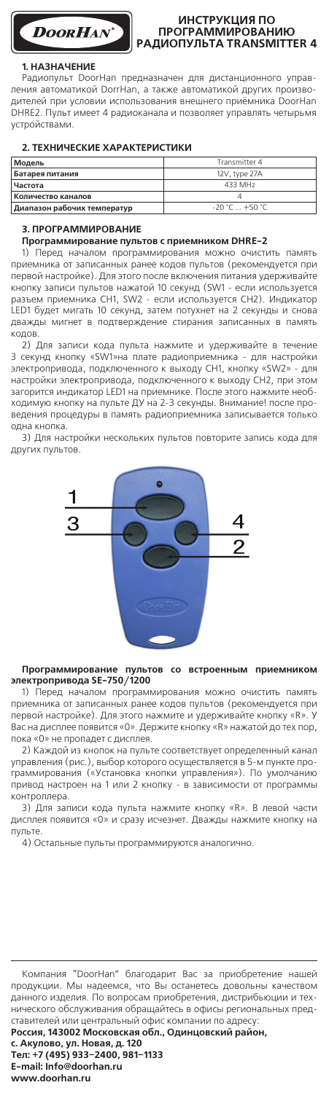

# **Инструкция по**  РАДИОПУЛЬТА TRANSMITTER 4

## **1. Назначение**

Радиопульт DoorHan предназначен для дистанционного управления автоматикой DorrHan, а также автоматикой других производителей при условии использования внешнего приёмника DoorHan DHRE2. Пульт имеет 4 радиоканала и позволяет управлять четырьмя устройствами.

# **2. Технические характеристики**

| Модель                      | Transmitter 4    |
|-----------------------------|------------------|
| Батарея питания             | 12V. type 27A    |
| Частота                     | 433 MHz          |
| Количество каналов          |                  |
| Диапазон рабочих температур | $-20 °C + 50 °C$ |

## **3. Программирование**

#### **Программирование пультов с приемником DHRE-2**

1) Перед началом программирования можно очистить память приемника от записанных ранее кодов пультов (рекомендуется при первой настройке). Для этого после включения питания удерживайте кнопку записи пультов нажатой 10 секунд (SW1 - если используется разъем приемника CH1, SW2 - если используется CH2). Индикатор LED1 будет мигать 10 секунд, затем потухнет на 2 секунды и снова дважды мигнет в подтверждение стирания записанных в память кодов.

2) Для записи кода пульта нажмите и удерживайте в течение 3 секунд кнопку «SW1»на плате радиоприемника - для настройки электропривода, подключенного к выходу CH1, кнопку «SW2» - для настройки электропривода, подключенного к выходу CH2, при этом загорится индикатор LED1 на приемнике. После этого нажмите необходимую кнопку на пульте ДУ на 2-3 секунды. Внимание! после проведения процедуры в память радиоприемника записывается только одна кнопка.

3) Для настройки нескольких пультов повторите запись кода для других пультов.



## **Программирование пультов со встроенным приемником электропривода SE-750/1200**

1) Перед началом программирования можно очистить память приемника от записанных ранее кодов пультов (рекомендуется при первой настройке). Для этого нажмите и удерживайте кнопку «R». У Вас на дисплее появится «0». Держите кнопку «R» нажатой до тех пор, пока «0» не пропадет с дисплея.

2) Каждой из кнопок на пульте соответствует определенный канал управления (рис.), выбор которого осуществляется в 5-м пункте программирования («Установка кнопки управления»). По умолчанию привод настроен на 1 или 2 кнопку - в зависимости от программы контроллера.

3) Для записи кода пульта нажмите кнопку «R». В левой части дисплея появится «0» и сразу исчезнет. Дважды нажмите кнопку на пульте.

4) Остальные пульты программируются аналогично.

Компания "DoorHan" благодарит Вас за приобретение нашей продукции. Мы надеемся, что Вы останетесь довольны качеством данного изделия. По вопросам приобретения, дистрибьюции и технического обслуживания обращайтесь в офисы региональных представителей или центральный офис компании по адресу:

**Россия, 143002 Московская обл., Одинцовский район,**

**с. Акулово, ул. Новая, д. 120 Тел: +7 (495) 933–2400, 981–1133 E-mail: Info@doorhan.ru www.doorhan.ru**